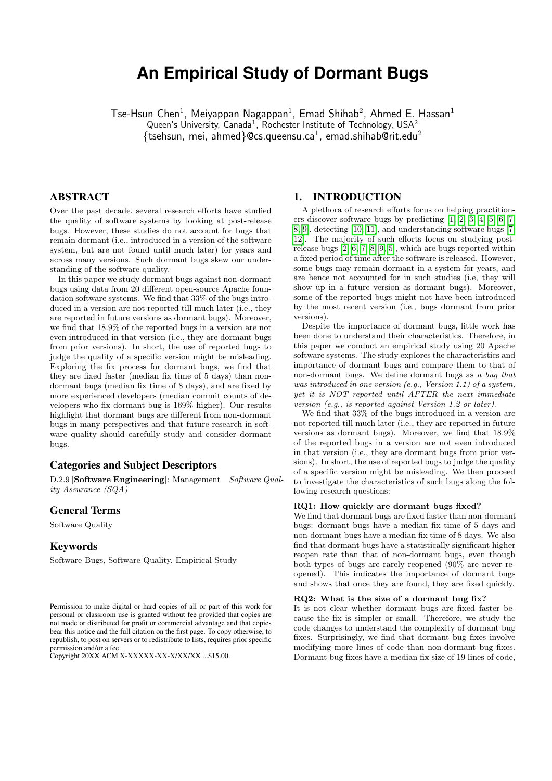# **An Empirical Study of Dormant Bugs**

Tse-Hsun Chen $^1$ , Meiyappan Nagappan $^1$ , Emad Shihab $^2$ , Ahmed E. Hassan $^1$ Queen's University, Canada<sup>1</sup>, Rochester Institute of Technology, USA<sup>2</sup>  $\{t$ sehsun, mei, ahmed $\}$ @cs.queensu.ca<sup>1</sup>, emad.shihab@rit.edu<sup>2</sup>

### ABSTRACT

Over the past decade, several research efforts have studied the quality of software systems by looking at post-release bugs. However, these studies do not account for bugs that remain dormant (i.e., introduced in a version of the software system, but are not found until much later) for years and across many versions. Such dormant bugs skew our understanding of the software quality.

In this paper we study dormant bugs against non-dormant bugs using data from 20 different open-source Apache foundation software systems. We find that 33% of the bugs introduced in a version are not reported till much later (i.e., they are reported in future versions as dormant bugs). Moreover, we find that 18.9% of the reported bugs in a version are not even introduced in that version (i.e., they are dormant bugs from prior versions). In short, the use of reported bugs to judge the quality of a specific version might be misleading. Exploring the fix process for dormant bugs, we find that they are fixed faster (median fix time of 5 days) than nondormant bugs (median fix time of 8 days), and are fixed by more experienced developers (median commit counts of developers who fix dormant bug is 169% higher). Our results highlight that dormant bugs are different from non-dormant bugs in many perspectives and that future research in software quality should carefully study and consider dormant bugs.

### Categories and Subject Descriptors

D.2.9 [Software Engineering]: Management—Software Quality Assurance (SQA)

### General Terms

Software Quality

### Keywords

Software Bugs, Software Quality, Empirical Study

Copyright 20XX ACM X-XXXXX-XX-X/XX/XX ...\$15.00.

### 1. INTRODUCTION

A plethora of research efforts focus on helping practitioners discover software bugs by predicting [\[1,](#page-8-0) [2,](#page-8-1) [3,](#page-8-2) [4,](#page-8-3) [5,](#page-8-4) [6,](#page-8-5) [7,](#page-8-6) [8,](#page-8-7) [9\]](#page-9-0), detecting [\[10,](#page-9-1) [11\]](#page-9-2), and understanding software bugs [\[7,](#page-8-6) [12\]](#page-9-3). The majority of such efforts focus on studying postrelease bugs [\[2,](#page-8-1) [6,](#page-8-5) [7,](#page-8-6) [8,](#page-8-7) [9,](#page-9-0) [5\]](#page-8-4), which are bugs reported within a fixed period of time after the software is released. However, some bugs may remain dormant in a system for years, and are hence not accounted for in such studies (i.e, they will show up in a future version as dormant bugs). Moreover, some of the reported bugs might not have been introduced by the most recent version (i.e., bugs dormant from prior versions).

Despite the importance of dormant bugs, little work has been done to understand their characteristics. Therefore, in this paper we conduct an empirical study using 20 Apache software systems. The study explores the characteristics and importance of dormant bugs and compare them to that of non-dormant bugs. We define dormant bugs as a bug that was introduced in one version (e.g., Version 1.1) of a system, yet it is NOT reported until AFTER the next immediate version (e.g., is reported against Version 1.2 or later).

We find that 33% of the bugs introduced in a version are not reported till much later (i.e., they are reported in future versions as dormant bugs). Moreover, we find that 18.9% of the reported bugs in a version are not even introduced in that version (i.e., they are dormant bugs from prior versions). In short, the use of reported bugs to judge the quality of a specific version might be misleading. We then proceed to investigate the characteristics of such bugs along the following research questions:

#### RQ1: How quickly are dormant bugs fixed?

We find that dormant bugs are fixed faster than non-dormant bugs: dormant bugs have a median fix time of 5 days and non-dormant bugs have a median fix time of 8 days. We also find that dormant bugs have a statistically significant higher reopen rate than that of non-dormant bugs, even though both types of bugs are rarely reopened (90% are never reopened). This indicates the importance of dormant bugs and shows that once they are found, they are fixed quickly.

#### RQ2: What is the size of a dormant bug fix?

It is not clear whether dormant bugs are fixed faster because the fix is simpler or small. Therefore, we study the code changes to understand the complexity of dormant bug fixes. Surprisingly, we find that dormant bug fixes involve modifying more lines of code than non-dormant bug fixes. Dormant bug fixes have a median fix size of 19 lines of code,

Permission to make digital or hard copies of all or part of this work for personal or classroom use is granted without fee provided that copies are not made or distributed for profit or commercial advantage and that copies bear this notice and the full citation on the first page. To copy otherwise, to republish, to post on servers or to redistribute to lists, requires prior specific permission and/or a fee.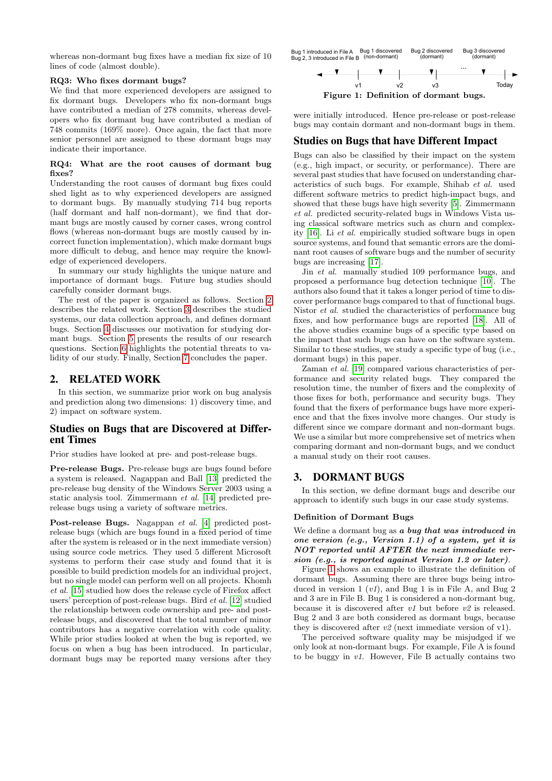whereas non-dormant bug fixes have a median fix size of 10 lines of code (almost double).

### RQ3: Who fixes dormant bugs?

We find that more experienced developers are assigned to fix dormant bugs. Developers who fix non-dormant bugs have contributed a median of 278 commits, whereas developers who fix dormant bug have contributed a median of 748 commits (169% more). Once again, the fact that more senior personnel are assigned to these dormant bugs may indicate their importance.

#### RQ4: What are the root causes of dormant bug fixes?

Understanding the root causes of dormant bug fixes could shed light as to why experienced developers are assigned to dormant bugs. By manually studying 714 bug reports (half dormant and half non-dormant), we find that dormant bugs are mostly caused by corner cases, wrong control flows (whereas non-dormant bugs are mostly caused by incorrect function implementation), which make dormant bugs more difficult to debug, and hence may require the knowledge of experienced developers.

In summary our study highlights the unique nature and importance of dormant bugs. Future bug studies should carefully consider dormant bugs.

The rest of the paper is organized as follows. Section [2](#page-1-0) describes the related work. Section [3](#page-1-1) describes the studied systems, our data collection approach, and defines dormant bugs. Section [4](#page-2-0) discusses our motivation for studying dormant bugs. Section [5](#page-3-0) presents the results of our research questions. Section [6](#page-7-0) highlights the potential threats to validity of our study. Finally, Section [7](#page-8-8) concludes the paper.

# <span id="page-1-0"></span>2. RELATED WORK

In this section, we summarize prior work on bug analysis and prediction along two dimensions: 1) discovery time, and 2) impact on software system.

# Studies on Bugs that are Discovered at Different Times

Prior studies have looked at pre- and post-release bugs.

Pre-release Bugs. Pre-release bugs are bugs found before a system is released. Nagappan and Ball [\[13\]](#page-9-4) predicted the pre-release bug density of the Windows Server 2003 using a static analysis tool. Zimmermann et al. [\[14\]](#page-9-5) predicted prerelease bugs using a variety of software metrics.

Post-release Bugs. Nagappan et al. [\[4\]](#page-8-3) predicted postrelease bugs (which are bugs found in a fixed period of time after the system is released or in the next immediate version) using source code metrics. They used 5 different Microsoft systems to perform their case study and found that it is possible to build prediction models for an individual project, but no single model can perform well on all projects. Khomh et al. [\[15\]](#page-9-6) studied how does the release cycle of Firefox affect users' perception of post-release bugs. Bird et al. [\[12\]](#page-9-3) studied the relationship between code ownership and pre- and postrelease bugs, and discovered that the total number of minor contributors has a negative correlation with code quality. While prior studies looked at when the bug is reported, we focus on when a bug has been introduced. In particular, dormant bugs may be reported many versions after they



<span id="page-1-2"></span>

were initially introduced. Hence pre-release or post-release bugs may contain dormant and non-dormant bugs in them.

### Studies on Bugs that have Different Impact

Bugs can also be classified by their impact on the system (e.g., high impact, or security, or performance). There are several past studies that have focused on understanding characteristics of such bugs. For example, Shihab et al. used different software metrics to predict high-impact bugs, and showed that these bugs have high severity [\[5\]](#page-8-4). Zimmermann et al. predicted security-related bugs in Windows Vista using classical software metrics such as churn and complexity [\[16\]](#page-9-7). Li et al. empirically studied software bugs in open source systems, and found that semantic errors are the dominant root causes of software bugs and the number of security bugs are increasing [\[17\]](#page-9-8).

Jin et al. manually studied 109 performance bugs, and proposed a performance bug detection technique [\[10\]](#page-9-1). The authors also found that it takes a longer period of time to discover performance bugs compared to that of functional bugs. Nistor et al. studied the characteristics of performance bug fixes, and how performance bugs are reported [\[18\]](#page-9-9). All of the above studies examine bugs of a specific type based on the impact that such bugs can have on the software system. Similar to these studies, we study a specific type of bug (i.e., dormant bugs) in this paper.

Zaman et al. [\[19\]](#page-9-10) compared various characteristics of performance and security related bugs. They compared the resolution time, the number of fixers and the complexity of those fixes for both, performance and security bugs. They found that the fixers of performance bugs have more experience and that the fixes involve more changes. Our study is different since we compare dormant and non-dormant bugs. We use a similar but more comprehensive set of metrics when comparing dormant and non-dormant bugs, and we conduct a manual study on their root causes.

# <span id="page-1-1"></span>3. DORMANT BUGS

In this section, we define dormant bugs and describe our approach to identify such bugs in our case study systems.

### Definition of Dormant Bugs

We define a dormant bug as  $a$  bug that was introduced in one version (e.g., Version 1.1) of a system, yet it is NOT reported until AFTER the next immediate version (e.g., is reported against Version 1.2 or later).

Figure [1](#page-1-2) shows an example to illustrate the definition of dormant bugs. Assuming there are three bugs being introduced in version  $1 (v1)$ , and Bug 1 is in File A, and Bug 2 and 3 are in File B. Bug 1 is considered a non-dormant bug, because it is discovered after  $v1$  but before  $v2$  is released. Bug 2 and 3 are both considered as dormant bugs, because they is discovered after  $v2$  (next immediate version of v1).

The perceived software quality may be misjudged if we only look at non-dormant bugs. For example, File A is found to be buggy in  $v1$ . However, File B actually contains two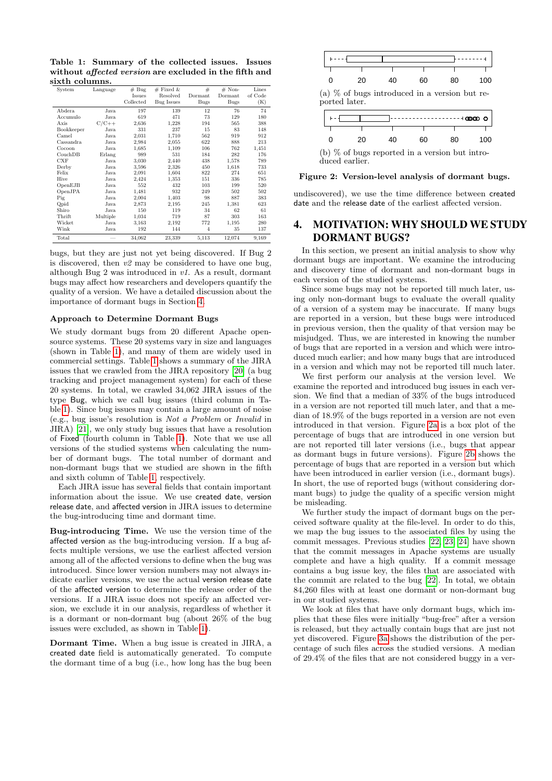<span id="page-2-1"></span>Table 1: Summary of the collected issues. Issues without affected version are excluded in the fifth and sixth columns.

| System     | Language | $#$ Bug   | $#$ Fixed $\&$    | #              | $#$ Non-    | Lines   |
|------------|----------|-----------|-------------------|----------------|-------------|---------|
|            |          | Issues    | Resolved          | Dormant        | Dormant     | of Code |
|            |          | Collected | <b>Bug Issues</b> | <b>Bugs</b>    | <b>Bugs</b> | (K)     |
| Abdera     | Java     | 197       | 139               | 12             | 76          | 74      |
| Accumulo   | Java     | 619       | 471               | 73             | 129         | 180     |
| Axis       | $C/C++$  | 2,636     | 1,228             | 194            | 565         | 388     |
| Bookkeeper | Java     | 331       | 237               | 15             | 83          | 148     |
| Camel      | Java     | 2,031     | 1,710             | 562            | 919         | 912     |
| Cassandra  | Java     | 2,984     | 2,055             | 622            | 888         | 213     |
| Cocoon     | Java     | 1,685     | 1,109             | 106            | 762         | 1,451   |
| CouchDB    | Erlang   | 989       | 531               | 184            | 282         | 176     |
| CXF        | Java     | 3,030     | 2,440             | 438            | 1,578       | 789     |
| Derby      | Java     | 3,596     | 2,326             | 450            | 1,618       | 733     |
| Felix      | Java     | 2,091     | 1,604             | 822            | 274         | 651     |
| Hive       | Java     | 2,424     | 1,353             | 151            | 336         | 785     |
| OpenEJB    | Java     | 552       | 432               | 103            | 199         | 520     |
| OpenJPA    | Java     | 1,481     | 932               | 249            | 502         | 502     |
| Pig        | Java     | 2,004     | 1,403             | 98             | 887         | 383     |
| Qpid       | Java     | 2,873     | 2,195             | 245            | 1,381       | 623     |
| Shiro      | Java     | 150       | 119               | 34             | 62          | 61      |
| Thrift     | Multiple | 1,034     | 719               | 87             | 303         | 163     |
| Wicket     | Java     | 3.163     | 2,192             | 772            | 1,195       | 280     |
| Wink       | Java     | 192       | 144               | $\overline{4}$ | 35          | 137     |
| Total      |          | 34,062    | 23,339            | 5,113          | 12,074      | 9,169   |

bugs, but they are just not yet being discovered. If Bug 2 is discovered, then  $v\mathcal{Z}$  may be considered to have one bug, although Bug 2 was introduced in v1. As a result, dormant bugs may affect how researchers and developers quantify the quality of a version. We have a detailed discussion about the importance of dormant bugs in Section [4.](#page-2-0)

#### Approach to Determine Dormant Bugs

We study dormant bugs from 20 different Apache opensource systems. These 20 systems vary in size and languages (shown in Table [1\)](#page-2-1), and many of them are widely used in commercial settings. Table [1](#page-2-1) shows a summary of the JIRA issues that we crawled from the JIRA repository [\[20\]](#page-9-11) (a bug tracking and project management system) for each of these 20 systems. In total, we crawled 34,062 JIRA issues of the type Bug, which we call bug issues (third column in Table [1\)](#page-2-1). Since bug issues may contain a large amount of noise (e.g., bug issue's resolution is Not a Problem or Invalid in JIRA) [\[21\]](#page-9-12), we only study bug issues that have a resolution of Fixed (fourth column in Table [1\)](#page-2-1). Note that we use all versions of the studied systems when calculating the number of dormant bugs. The total number of dormant and non-dormant bugs that we studied are shown in the fifth and sixth column of Table [1,](#page-2-1) respectively.

Each JIRA issue has several fields that contain important information about the issue. We use created date, version release date, and affected version in JIRA issues to determine the bug-introducing time and dormant time.

Bug-introducing Time. We use the version time of the affected version as the bug-introducing version. If a bug affects multiple versions, we use the earliest affected version among all of the affected versions to define when the bug was introduced. Since lower version numbers may not always indicate earlier versions, we use the actual version release date of the affected version to determine the release order of the versions. If a JIRA issue does not specify an affected version, we exclude it in our analysis, regardless of whether it is a dormant or non-dormant bug (about 26% of the bug issues were excluded, as shown in Table [1\)](#page-2-1).

Dormant Time. When a bug issue is created in JIRA, a created date field is automatically generated. To compute the dormant time of a bug (i.e., how long has the bug been

<span id="page-2-2"></span>

<span id="page-2-3"></span>(b) % of bugs reported in a version but introduced earlier.

Figure 2: Version-level analysis of dormant bugs.

undiscovered), we use the time difference between created date and the release date of the earliest affected version.

# <span id="page-2-0"></span>4. MOTIVATION: WHY SHOULD WE STUDY DORMANT BUGS?

In this section, we present an initial analysis to show why dormant bugs are important. We examine the introducing and discovery time of dormant and non-dormant bugs in each version of the studied systems.

Since some bugs may not be reported till much later, using only non-dormant bugs to evaluate the overall quality of a version of a system may be inaccurate. If many bugs are reported in a version, but these bugs were introduced in previous version, then the quality of that version may be misjudged. Thus, we are interested in knowing the number of bugs that are reported in a version and which were introduced much earlier; and how many bugs that are introduced in a version and which may not be reported till much later.

We first perform our analysis at the version level. We examine the reported and introduced bug issues in each version. We find that a median of 33% of the bugs introduced in a version are not reported till much later, and that a median of 18.9% of the bugs reported in a version are not even introduced in that version. Figure [2a](#page-2-2) is a box plot of the percentage of bugs that are introduced in one version but are not reported till later versions (i.e., bugs that appear as dormant bugs in future versions). Figure [2b](#page-2-3) shows the percentage of bugs that are reported in a version but which have been introduced in earlier version (i.e., dormant bugs). In short, the use of reported bugs (without considering dormant bugs) to judge the quality of a specific version might be misleading.

We further study the impact of dormant bugs on the perceived software quality at the file-level. In order to do this, we map the bug issues to the associated files by using the commit messages. Previous studies [\[22,](#page-9-13) [23,](#page-9-14) [24\]](#page-9-15) have shown that the commit messages in Apache systems are usually complete and have a high quality. If a commit message contains a bug issue key, the files that are associated with the commit are related to the bug [\[22\]](#page-9-13). In total, we obtain 84,260 files with at least one dormant or non-dormant bug in our studied systems.

We look at files that have only dormant bugs, which implies that these files were initially "bug-free" after a version is released, but they actually contain bugs that are just not yet discovered. Figure [3a](#page-3-1) shows the distribution of the percentage of such files across the studied versions. A median of 29.4% of the files that are not considered buggy in a ver-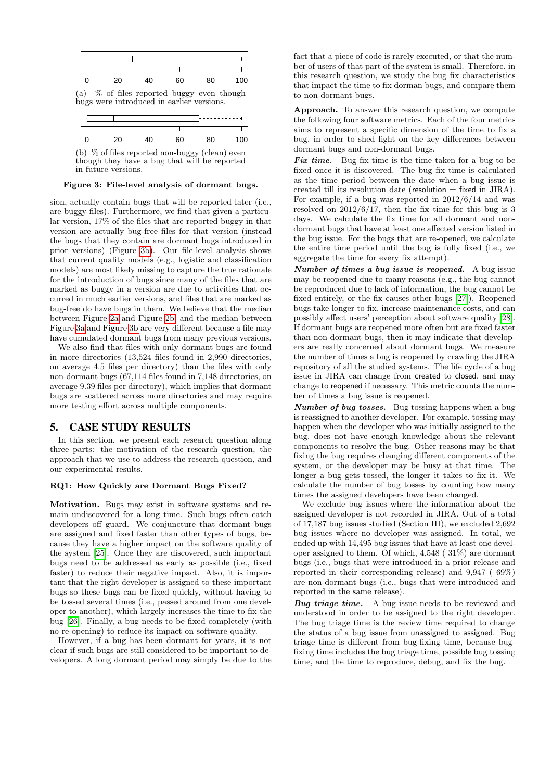<span id="page-3-2"></span><span id="page-3-1"></span>

(b) % of files reported non-buggy (clean) even though they have a bug that will be reported in future versions.

#### Figure 3: File-level analysis of dormant bugs.

sion, actually contain bugs that will be reported later (i.e., are buggy files). Furthermore, we find that given a particular version, 17% of the files that are reported buggy in that version are actually bug-free files for that version (instead the bugs that they contain are dormant bugs introduced in prior versions) (Figure [3b\)](#page-3-2). Our file-level analysis shows that current quality models (e.g., logistic and classification models) are most likely missing to capture the true rationale for the introduction of bugs since many of the files that are marked as buggy in a version are due to activities that occurred in much earlier versions, and files that are marked as bug-free do have bugs in them. We believe that the median between Figure [2a](#page-2-2) and Figure [2b,](#page-2-3) and the median between Figure [3a](#page-3-1) and Figure [3b](#page-3-2) are very different because a file may have cumulated dormant bugs from many previous versions.

We also find that files with only dormant bugs are found in more directories (13,524 files found in 2,990 directories, on average 4.5 files per directory) than the files with only non-dormant bugs (67,114 files found in 7,148 directories, on average 9.39 files per directory), which implies that dormant bugs are scattered across more directories and may require more testing effort across multiple components.

### <span id="page-3-0"></span>5. CASE STUDY RESULTS

In this section, we present each research question along three parts: the motivation of the research question, the approach that we use to address the research question, and our experimental results.

#### RQ1: How Quickly are Dormant Bugs Fixed?

Motivation. Bugs may exist in software systems and remain undiscovered for a long time. Such bugs often catch developers off guard. We conjuncture that dormant bugs are assigned and fixed faster than other types of bugs, because they have a higher impact on the software quality of the system [\[25\]](#page-9-16). Once they are discovered, such important bugs need to be addressed as early as possible (i.e., fixed faster) to reduce their negative impact. Also, it is important that the right developer is assigned to these important bugs so these bugs can be fixed quickly, without having to be tossed several times (i.e., passed around from one developer to another), which largely increases the time to fix the bug [\[26\]](#page-9-17). Finally, a bug needs to be fixed completely (with no re-opening) to reduce its impact on software quality.

However, if a bug has been dormant for years, it is not clear if such bugs are still considered to be important to developers. A long dormant period may simply be due to the fact that a piece of code is rarely executed, or that the number of users of that part of the system is small. Therefore, in this research question, we study the bug fix characteristics that impact the time to fix dorman bugs, and compare them to non-dormant bugs.

Approach. To answer this research question, we compute the following four software metrics. Each of the four metrics aims to represent a specific dimension of the time to fix a bug, in order to shed light on the key differences between dormant bugs and non-dormant bugs.

**Fix time.** Bug fix time is the time taken for a bug to be fixed once it is discovered. The bug fix time is calculated as the time period between the date when a bug issue is created till its resolution date (resolution  $=$  fixed in JIRA). For example, if a bug was reported in 2012/6/14 and was resolved on  $2012/6/17$ , then the fix time for this bug is 3 days. We calculate the fix time for all dormant and nondormant bugs that have at least one affected version listed in the bug issue. For the bugs that are re-opened, we calculate the entire time period until the bug is fully fixed (i.e., we aggregate the time for every fix attempt).

Number of times a bug issue is reopened. A bug issue may be reopened due to many reasons (e.g., the bug cannot be reproduced due to lack of information, the bug cannot be fixed entirely, or the fix causes other bugs [\[27\]](#page-9-18)). Reopened bugs take longer to fix, increase maintenance costs, and can possibly affect users' perception about software quality [\[28\]](#page-9-19). If dormant bugs are reopened more often but are fixed faster than non-dormant bugs, then it may indicate that developers are really concerned about dormant bugs. We measure the number of times a bug is reopened by crawling the JIRA repository of all the studied systems. The life cycle of a bug issue in JIRA can change from created to closed, and may change to reopened if necessary. This metric counts the number of times a bug issue is reopened.

Number of bug tosses. Bug tossing happens when a bug is reassigned to another developer. For example, tossing may happen when the developer who was initially assigned to the bug, does not have enough knowledge about the relevant components to resolve the bug. Other reasons may be that fixing the bug requires changing different components of the system, or the developer may be busy at that time. The longer a bug gets tossed, the longer it takes to fix it. We calculate the number of bug tosses by counting how many times the assigned developers have been changed.

We exclude bug issues where the information about the assigned developer is not recorded in JIRA. Out of a total of 17,187 bug issues studied (Section III), we excluded 2,692 bug issues where no developer was assigned. In total, we ended up with 14,495 bug issues that have at least one developer assigned to them. Of which, 4,548 ( 31%) are dormant bugs (i.e., bugs that were introduced in a prior release and reported in their corresponding release) and 9,947 ( 69%) are non-dormant bugs (i.e., bugs that were introduced and reported in the same release).

Bug triage time. A bug issue needs to be reviewed and understood in order to be assigned to the right developer. The bug triage time is the review time required to change the status of a bug issue from unassigned to assigned. Bug triage time is different from bug-fixing time, because bugfixing time includes the bug triage time, possible bug tossing time, and the time to reproduce, debug, and fix the bug.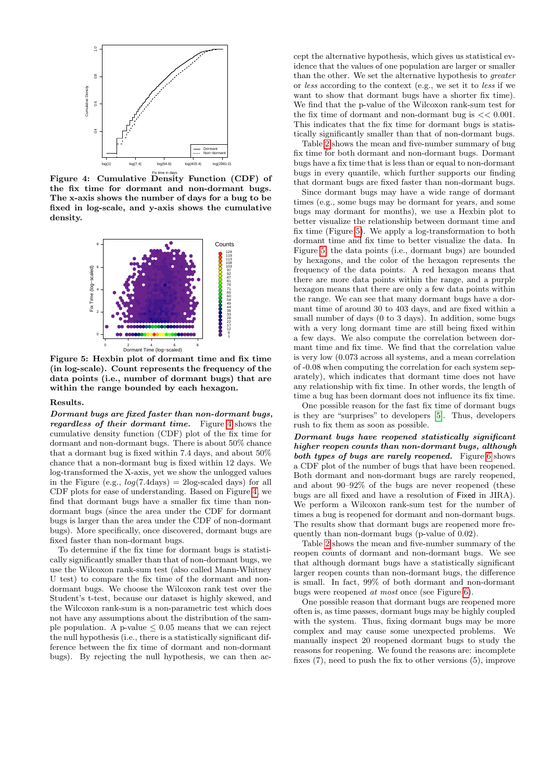

<span id="page-4-0"></span>Figure 4: Cumulative Density Function (CDF) of the fix time for dormant and non-dormant bugs. The x-axis shows the number of days for a bug to be fixed in log-scale, and y-axis shows the cumulative density.



<span id="page-4-1"></span>Figure 5: Hexbin plot of dormant time and fix time (in log-scale). Count represents the frequency of the data points (i.e., number of dormant bugs) that are within the range bounded by each hexagon.

#### Results.

Dormant bugs are fixed faster than non-dormant bugs, regardless of their dormant time. Figure [4](#page-4-0) shows the cumulative density function (CDF) plot of the fix time for dormant and non-dormant bugs. There is about 50% chance that a dormant bug is fixed within 7.4 days, and about 50% chance that a non-dormant bug is fixed within 12 days. We log-transformed the X-axis, yet we show the unlogged values in the Figure (e.g.,  $log(7.4 \text{days}) = 2log$ -scaled days) for all CDF plots for ease of understanding. Based on Figure [4,](#page-4-0) we find that dormant bugs have a smaller fix time than nondormant bugs (since the area under the CDF for dormant bugs is larger than the area under the CDF of non-dormant bugs). More specifically, once discovered, dormant bugs are fixed faster than non-dormant bugs.

To determine if the fix time for dormant bugs is statistically significantly smaller than that of non-dormant bugs, we use the Wilcoxon rank-sum test (also called Mann-Whitney U test) to compare the fix time of the dormant and nondormant bugs. We choose the Wilcoxon rank test over the Student's t-test, because our dataset is highly skewed, and the Wilcoxon rank-sum is a non-parametric test which does not have any assumptions about the distribution of the sample population. A p-value  $\leq 0.05$  means that we can reject the null hypothesis (i.e., there is a statistically significant difference between the fix time of dormant and non-dormant bugs). By rejecting the null hypothesis, we can then ac-

cept the alternative hypothesis, which gives us statistical evidence that the values of one population are larger or smaller than the other. We set the alternative hypothesis to greater or less according to the context (e.g., we set it to less if we want to show that dormant bugs have a shorter fix time). We find that the p-value of the Wilcoxon rank-sum test for the fix time of dormant and non-dormant bug is  $<< 0.001$ . This indicates that the fix time for dormant bugs is statistically significantly smaller than that of non-dormant bugs.

Table [2](#page-5-0) shows the mean and five-number summary of bug fix time for both dormant and non-dormant bugs. Dormant bugs have a fix time that is less than or equal to non-dormant bugs in every quantile, which further supports our finding that dormant bugs are fixed faster than non-dormant bugs.

Since dormant bugs may have a wide range of dormant times (e.g., some bugs may be dormant for years, and some bugs may dormant for months), we use a Hexbin plot to better visualize the relationship between dormant time and fix time (Figure [5\)](#page-4-1). We apply a log-transformation to both dormant time and fix time to better visualize the data. In Figure [5,](#page-4-1) the data points (i.e., dormant bugs) are bounded by hexagons, and the color of the hexagon represents the frequency of the data points. A red hexagon means that there are more data points within the range, and a purple hexagon means that there are only a few data points within the range. We can see that many dormant bugs have a dormant time of around 30 to 403 days, and are fixed within a small number of days (0 to 3 days). In addition, some bugs with a very long dormant time are still being fixed within a few days. We also compute the correlation between dormant time and fix time. We find that the correlation value is very low (0.073 across all systems, and a mean correlation of -0.08 when computing the correlation for each system separately), which indicates that dormant time does not have any relationship with fix time. In other words, the length of time a bug has been dormant does not influence its fix time.

One possible reason for the fast fix time of dormant bugs is they are "surprises" to developers [\[5\]](#page-8-4). Thus, developers rush to fix them as soon as possible.

Dormant bugs have reopened statistically significant higher reopen counts than non-dormant bugs, although both types of bugs are rarely reopened. Figure [6](#page-5-1) shows a CDF plot of the number of bugs that have been reopened. Both dormant and non-dormant bugs are rarely reopened, and about 90–92% of the bugs are never reopened (these bugs are all fixed and have a resolution of Fixed in JIRA). We perform a Wilcoxon rank-sum test for the number of times a bug is reopened for dormant and non-dormant bugs. The results show that dormant bugs are reopened more frequently than non-dormant bugs (p-value of 0.02).

Table [2](#page-5-0) shows the mean and five-number summary of the reopen counts of dormant and non-dormant bugs. We see that although dormant bugs have a statistically significant larger reopen counts than non-dormant bugs, the difference is small. In fact, 99% of both dormant and non-dormant bugs were reopened at most once (see Figure [6\)](#page-5-1).

One possible reason that dormant bugs are reopened more often is, as time passes, dormant bugs may be highly coupled with the system. Thus, fixing dormant bugs may be more complex and may cause some unexpected problems. We manually inspect 20 reopened dormant bugs to study the reasons for reopening. We found the reasons are: incomplete fixes (7), need to push the fix to other versions (5), improve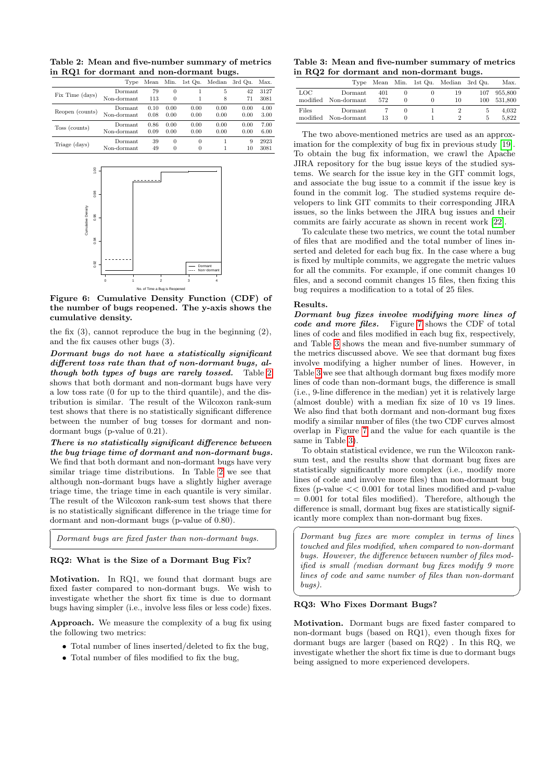<span id="page-5-0"></span>Table 2: Mean and five-number summary of metrics in RQ1 for dormant and non-dormant bugs.

|                 | Type        | Mean | Min.     | 1st Qu.  | Median | 3rd Ou. | Max. |
|-----------------|-------------|------|----------|----------|--------|---------|------|
| Fix Time (days) | Dormant     | 79   | $\theta$ |          | 5      | 42      | 3127 |
|                 | Non-dormant | 113  | $\Omega$ |          | 8      | 71      | 3081 |
| Reopen (counts) | Dormant.    | 0.10 | 0.00     | 0.00     | 0.00   | 0.00    | 4.00 |
|                 | Non-dormant | 0.08 | 0.00     | 0.00     | 0.00   | 0.00    | 3.00 |
|                 | Dormant.    | 0.86 | 0.00     | 0.00     | 0.00   | 0.00    | 7.00 |
| Toss (counts)   | Non-dormant | 0.09 | 0.00     | 0.00     | 0.00   | 0.00    | 6.00 |
|                 | Dormant     | 39   | $\Omega$ | $\Omega$ |        | 9       | 2923 |
| Triage (days)   | Non-dormant | 49   | 0        | $\Omega$ |        | 10      | 3081 |



<span id="page-5-1"></span>Figure 6: Cumulative Density Function (CDF) of the number of bugs reopened. The y-axis shows the cumulative density.

the fix  $(3)$ , cannot reproduce the bug in the beginning  $(2)$ , and the fix causes other bugs (3).

Dormant bugs do not have a statistically significant different toss rate than that of non-dormant bugs, although both types of bugs are rarely tossed. Table [2](#page-5-0) shows that both dormant and non-dormant bugs have very a low toss rate (0 for up to the third quantile), and the distribution is similar. The result of the Wilcoxon rank-sum test shows that there is no statistically significant difference between the number of bug tosses for dormant and nondormant bugs (p-value of 0.21).

There is no statistically significant difference between the bug triage time of dormant and non-dormant bugs. We find that both dormant and non-dormant bugs have very similar triage time distributions. In Table [2](#page-5-0) we see that although non-dormant bugs have a slightly higher average triage time, the triage time in each quantile is very similar. The result of the Wilcoxon rank-sum test shows that there is no statistically significant difference in the triage time for dormant and non-dormant bugs (p-value of 0.80). ✄

Dormant bugs are fixed faster than non-dormant bugs.

#### RQ2: What is the Size of a Dormant Bug Fix?

Ļ

Motivation. In RQ1, we found that dormant bugs are fixed faster compared to non-dormant bugs. We wish to investigate whether the short fix time is due to dormant bugs having simpler (i.e., involve less files or less code) fixes.

Approach. We measure the complexity of a bug fix using the following two metrics:

- Total number of lines inserted/deleted to fix the bug,
- Total number of files modified to fix the bug,

<span id="page-5-2"></span>Table 3: Mean and five-number summary of metrics in RQ2 for dormant and non-dormant bugs.

|            |                      |     |  | Type Mean Min. 1st Qu. Median 3rd Qu. |     | Max.    |
|------------|----------------------|-----|--|---------------------------------------|-----|---------|
| <b>LOC</b> | Dormant              | 401 |  | 19                                    | 107 | 955,800 |
|            | modified Non-dormant | 572 |  | 10                                    | 100 | 531.800 |
| Files      | Dormant              |     |  |                                       | 5   | 4.032   |
|            | modified Non-dormant | 13  |  |                                       | 5   | 5.822   |

The two above-mentioned metrics are used as an approximation for the complexity of bug fix in previous study [\[19\]](#page-9-10). To obtain the bug fix information, we crawl the Apache JIRA repository for the bug issue keys of the studied systems. We search for the issue key in the GIT commit logs, and associate the bug issue to a commit if the issue key is found in the commit log. The studied systems require developers to link GIT commits to their corresponding JIRA issues, so the links between the JIRA bug issues and their commits are fairly accurate as shown in recent work [\[22\]](#page-9-13).

To calculate these two metrics, we count the total number of files that are modified and the total number of lines inserted and deleted for each bug fix. In the case where a bug is fixed by multiple commits, we aggregate the metric values for all the commits. For example, if one commit changes 10 files, and a second commit changes 15 files, then fixing this bug requires a modification to a total of 25 files.

#### Results.

 $\overline{a}$ 

☛

 $\overline{a}$ 

Dormant bug fixes involve modifying more lines of code and more files. Figure [7](#page-6-0) shows the CDF of total lines of code and files modified in each bug fix, respectively, and Table [3](#page-5-2) shows the mean and five-number summary of the metrics discussed above. We see that dormant bug fixes involve modifying a higher number of lines. However, in Table [3](#page-5-2) we see that although dormant bug fixes modify more lines of code than non-dormant bugs, the difference is small (i.e., 9-line difference in the median) yet it is relatively large (almost double) with a median fix size of 10 vs 19 lines. We also find that both dormant and non-dormant bug fixes modify a similar number of files (the two CDF curves almost overlap in Figure [7](#page-6-0) and the value for each quantile is the same in Table [3\)](#page-5-2).

To obtain statistical evidence, we run the Wilcoxon ranksum test, and the results show that dormant bug fixes are statistically significantly more complex (i.e., modify more lines of code and involve more files) than non-dormant bug fixes (p-value << 0.001 for total lines modified and p-value  $= 0.001$  for total files modified). Therefore, although the difference is small, dormant bug fixes are statistically significantly more complex than non-dormant bug fixes.

Dormant bug fixes are more complex in terms of lines touched and files modified, when compared to non-dormant bugs. However, the difference between number of files modified is small (median dormant bug fixes modify 9 more lines of code and same number of files than non-dormant bugs).

 $\mathbf{a}^{\dagger}$ 

 $^{\prime}$ 

#### $\searrow$ RQ3: Who Fixes Dormant Bugs?

Motivation. Dormant bugs are fixed faster compared to non-dormant bugs (based on RQ1), even though fixes for dormant bugs are larger (based on RQ2) . In this RQ, we investigate whether the short fix time is due to dormant bugs being assigned to more experienced developers.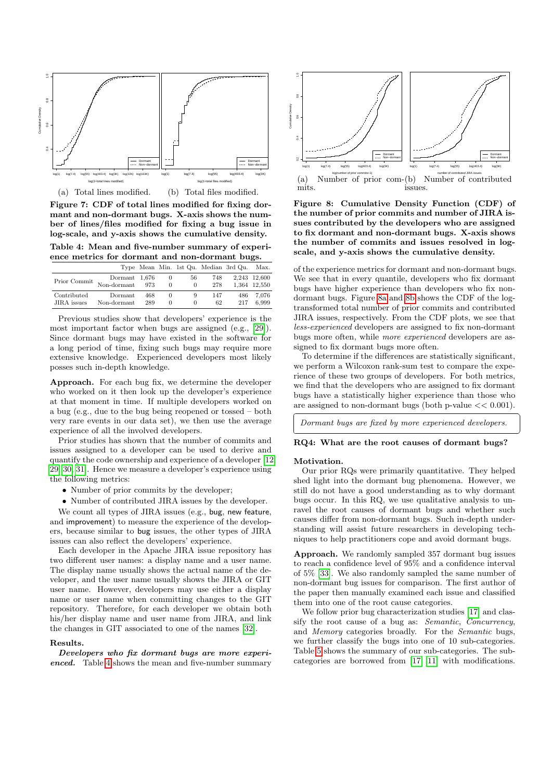

<span id="page-6-0"></span>(a) Total lines modified. (b) Total files modified.

Figure 7: CDF of total lines modified for fixing dormant and non-dormant bugs. X-axis shows the number of lines/files modified for fixing a bug issue in log-scale, and y-axis shows the cumulative density.

<span id="page-6-1"></span>Table 4: Mean and five-number summary of experience metrics for dormant and non-dormant bugs.

|                                                  |               |     |               |          |            | Type Mean Min. 1st Qu. Median 3rd Qu. Max. |                              |
|--------------------------------------------------|---------------|-----|---------------|----------|------------|--------------------------------------------|------------------------------|
| Prior Commit $\overline{\text{Non-dormant}}$ 973 | Dormant 1,676 |     | U<br>$\Omega$ | 56       | 748<br>278 |                                            | 2,243 12,600<br>1.364 12.550 |
|                                                  |               |     |               | 0        |            |                                            |                              |
| Contributed                                      | Dormant       | 468 | $^{\circ}$    |          | 147        | 486                                        | 7,076                        |
| JIRA issues                                      | Non-dormant   | 289 | $^{\circ}$    | $^{(1)}$ | 62         | 217                                        | 6.999                        |

Previous studies show that developers' experience is the most important factor when bugs are assigned (e.g., [\[29\]](#page-9-20)). Since dormant bugs may have existed in the software for a long period of time, fixing such bugs may require more extensive knowledge. Experienced developers most likely posses such in-depth knowledge.

Approach. For each bug fix, we determine the developer who worked on it then look up the developer's experience at that moment in time. If multiple developers worked on a bug (e.g., due to the bug being reopened or tossed – both very rare events in our data set), we then use the average experience of all the involved developers.

Prior studies has shown that the number of commits and issues assigned to a developer can be used to derive and quantify the code ownership and experience of a developer [\[12,](#page-9-3) [29,](#page-9-20) [30,](#page-9-21) [31\]](#page-9-22). Hence we measure a developer's experience using the following metrics:

- Number of prior commits by the developer;
- Number of contributed JIRA issues by the developer.

We count all types of JIRA issues (e.g., bug, new feature, and improvement) to measure the experience of the developers, because similar to bug issues, the other types of JIRA issues can also reflect the developers' experience.

Each developer in the Apache JIRA issue repository has two different user names: a display name and a user name. The display name usually shows the actual name of the developer, and the user name usually shows the JIRA or GIT user name. However, developers may use either a display name or user name when committing changes to the GIT repository. Therefore, for each developer we obtain both his/her display name and user name from JIRA, and link the changes in GIT associated to one of the names [\[32\]](#page-9-23).

### Results.

Developers who fix dormant bugs are more experienced. Table [4](#page-6-1) shows the mean and five-number summary

<span id="page-6-2"></span>

<span id="page-6-3"></span>mits. issues. Figure 8: Cumulative Density Function (CDF) of

the number of prior commits and number of JIRA issues contributed by the developers who are assigned to fix dormant and non-dormant bugs. X-axis shows the number of commits and issues resolved in logscale, and y-axis shows the cumulative density.

of the experience metrics for dormant and non-dormant bugs. We see that in every quantile, developers who fix dormant bugs have higher experience than developers who fix nondormant bugs. Figure [8a](#page-6-2) and [8b](#page-6-3) shows the CDF of the logtransformed total number of prior commits and contributed JIRA issues, respectively. From the CDF plots, we see that less-experienced developers are assigned to fix non-dormant bugs more often, while more experienced developers are assigned to fix dormant bugs more often.

To determine if the differences are statistically significant, we perform a Wilcoxon rank-sum test to compare the experience of these two groups of developers. For both metrics, we find that the developers who are assigned to fix dormant bugs have a statistically higher experience than those who are assigned to non-dormant bugs (both p-value  $<< 0.001$ ).

Dormant bugs are fixed by more experienced developers.

 $\overline{a}$ 

 $\overline{a}$ 

#### RQ4: What are the root causes of dormant bugs?

#### Motivation.

✄

✂

Our prior RQs were primarily quantitative. They helped shed light into the dormant bug phenomena. However, we still do not have a good understanding as to why dormant bugs occur. In this RQ, we use qualitative analysis to unravel the root causes of dormant bugs and whether such causes differ from non-dormant bugs. Such in-depth understanding will assist future researchers in developing techniques to help practitioners cope and avoid dormant bugs.

Approach. We randomly sampled 357 dormant bug issues to reach a confidence level of 95% and a confidence interval of 5% [\[33\]](#page-9-24). We also randomly sampled the same number of non-dormant bug issues for comparison. The first author of the paper then manually examined each issue and classified them into one of the root cause categories.

We follow prior bug characterization studies [\[17\]](#page-9-8) and classify the root cause of a bug as: Semantic, Concurrency, and Memory categories broadly. For the Semantic bugs, we further classify the bugs into one of 10 sub-categories. Table [5](#page-8-9) shows the summary of our sub-categories. The subcategories are borrowed from [\[17,](#page-9-8) [11\]](#page-9-2) with modifications.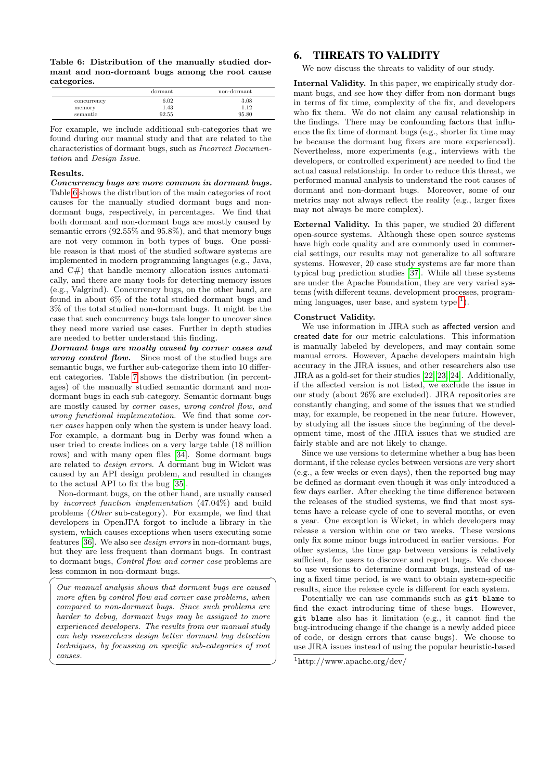<span id="page-7-1"></span>Table 6: Distribution of the manually studied dormant and non-dormant bugs among the root cause categories.

|             | dormant | non-dormant |
|-------------|---------|-------------|
| concurrency | 6.02    | 3.08        |
| memory      | 1.43    | 1.12        |
| semantic    | 92.55   | 95.80       |

For example, we include additional sub-categories that we found during our manual study and that are related to the characteristics of dormant bugs, such as Incorrect Documentation and Design Issue.

### Results.

✡

Concurrency bugs are more common in dormant bugs. Table [6](#page-7-1) shows the distribution of the main categories of root causes for the manually studied dormant bugs and nondormant bugs, respectively, in percentages. We find that both dormant and non-dormant bugs are mostly caused by semantic errors (92.55% and 95.8%), and that memory bugs are not very common in both types of bugs. One possible reason is that most of the studied software systems are implemented in modern programming languages (e.g., Java, and C#) that handle memory allocation issues automatically, and there are many tools for detecting memory issues (e.g., Valgrind). Concurrency bugs, on the other hand, are found in about 6% of the total studied dormant bugs and 3% of the total studied non-dormant bugs. It might be the case that such concurrency bugs tale longer to uncover since they need more varied use cases. Further in depth studies are needed to better understand this finding.

Dormant bugs are mostly caused by corner cases and wrong control flow. Since most of the studied bugs are semantic bugs, we further sub-categorize them into 10 different categories. Table [7](#page-8-10) shows the distribution (in percentages) of the manually studied semantic dormant and nondormant bugs in each sub-category. Semantic dormant bugs are mostly caused by corner cases, wrong control flow, and wrong functional implementation. We find that some corner cases happen only when the system is under heavy load. For example, a dormant bug in Derby was found when a user tried to create indices on a very large table (18 million rows) and with many open files [\[34\]](#page-9-25). Some dormant bugs are related to design errors. A dormant bug in Wicket was caused by an API design problem, and resulted in changes to the actual API to fix the bug [\[35\]](#page-9-26).

Non-dormant bugs, on the other hand, are usually caused by incorrect function implementation (47.04%) and build problems (Other sub-category). For example, we find that developers in OpenJPA forgot to include a library in the system, which causes exceptions when users executing some features [\[36\]](#page-9-27). We also see design errors in non-dormant bugs, but they are less frequent than dormant bugs. In contrast to dormant bugs, Control flow and corner case problems are less common in non-dormant bugs.

Our manual analysis shows that dormant bugs are caused more often by control flow and corner case problems, when compared to non-dormant bugs. Since such problems are harder to debug, dormant bugs may be assigned to more experienced developers. The results from our manual study can help researchers design better dormant bug detection techniques, by focussing on specific sub-categories of root causes.

# <span id="page-7-0"></span>6. THREATS TO VALIDITY

We now discuss the threats to validity of our study.

Internal Validity. In this paper, we empirically study dormant bugs, and see how they differ from non-dormant bugs in terms of fix time, complexity of the fix, and developers who fix them. We do not claim any causal relationship in the findings. There may be confounding factors that influence the fix time of dormant bugs (e.g., shorter fix time may be because the dormant bug fixers are more experienced). Nevertheless, more experiments (e.g., interviews with the developers, or controlled experiment) are needed to find the actual casual relationship. In order to reduce this threat, we performed manual analysis to understand the root causes of dormant and non-dormant bugs. Moreover, some of our metrics may not always reflect the reality (e.g., larger fixes may not always be more complex).

External Validity. In this paper, we studied 20 different open-source systems. Although these open source systems have high code quality and are commonly used in commercial settings, our results may not generalize to all software systems. However, 20 case study systems are far more than typical bug prediction studies [\[37\]](#page-9-28). While all these systems are under the Apache Foundation, they are very varied systems (with different teams, development processes, programming languages, user base, and system type  $<sup>1</sup>$  $<sup>1</sup>$  $<sup>1</sup>$ ).</sup>

### Construct Validity.

We use information in JIRA such as affected version and created date for our metric calculations. This information is manually labeled by developers, and may contain some manual errors. However, Apache developers maintain high accuracy in the JIRA issues, and other researchers also use JIRA as a gold-set for their studies [\[22,](#page-9-13) [23,](#page-9-14) [24\]](#page-9-15). Additionally, if the affected version is not listed, we exclude the issue in our study (about 26% are excluded). JIRA repositories are constantly changing, and some of the issues that we studied may, for example, be reopened in the near future. However, by studying all the issues since the beginning of the development time, most of the JIRA issues that we studied are fairly stable and are not likely to change.

Since we use versions to determine whether a bug has been dormant, if the release cycles between versions are very short (e.g., a few weeks or even days), then the reported bug may be defined as dormant even though it was only introduced a few days earlier. After checking the time difference between the releases of the studied systems, we find that most systems have a release cycle of one to several months, or even a year. One exception is Wicket, in which developers may release a version within one or two weeks. These versions only fix some minor bugs introduced in earlier versions. For other systems, the time gap between versions is relatively sufficient, for users to discover and report bugs. We choose to use versions to determine dormant bugs, instead of using a fixed time period, is we want to obtain system-specific results, since the release cycle is different for each system.

Potentially we can use commands such as git blame to find the exact introducing time of these bugs. However, git blame also has it limitation (e.g., it cannot find the bug-introducing change if the change is a newly added piece of code, or design errors that cause bugs). We choose to use JIRA issues instead of using the popular heuristic-based

 $\mathbf{a}^{\dagger}$ 

✠

<span id="page-7-2"></span><sup>1</sup>http://www.apache.org/dev/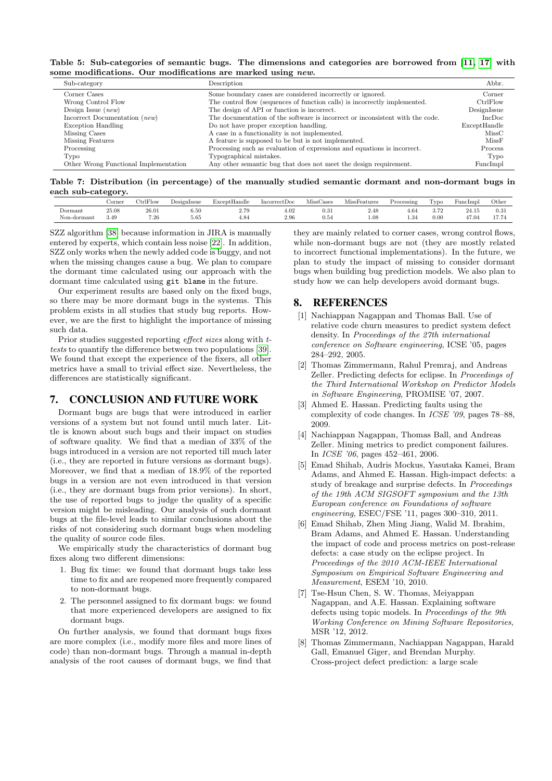<span id="page-8-9"></span>Table 5: Sub-categories of semantic bugs. The dimensions and categories are borrowed from [\[11,](#page-9-2) [17\]](#page-9-8) with some modifications. Our modifications are marked using new.

| Sub-category                          | Description                                                                   | Abbr.        |
|---------------------------------------|-------------------------------------------------------------------------------|--------------|
| Corner Cases                          | Some boundary cases are considered incorrectly or ignored.                    | Corner       |
| Wrong Control Flow                    | The control flow (sequences of function calls) is incorrectly implemented.    | CtrlFlow     |
| Design Issue $(new)$                  | The design of API or function is incorrect.                                   | DesignIssue  |
| Incorrect Documentation $(new)$       | The documentation of the software is incorrect or inconsistent with the code. | IncDoc       |
| Exception Handling                    | Do not have proper exception handling.                                        | ExceptHandle |
| Missing Cases                         | A case in a functionality is not implemented.                                 | MissC        |
| Missing Features                      | A feature is supposed to be but is not implemented.                           | MissF        |
| Processing                            | Processing such as evaluation of expressions and equations is incorrect.      | Process      |
| Typo                                  | Typographical mistakes.                                                       | Typo         |
| Other Wrong Functional Implementation | Any other semantic bug that does not meet the design requirement.             | FuncImpl     |

<span id="page-8-10"></span>Table 7: Distribution (in percentage) of the manually studied semantic dormant and non-dormant bugs in each sub-category.

|                | Corner | `trlFlow | DesignIssue | $Except$ Handle | IncorrectDoc | Miss <sub>(</sub><br>Cases | MissFeatures | Processing | Typo         | Funclmpi | Other           |
|----------------|--------|----------|-------------|-----------------|--------------|----------------------------|--------------|------------|--------------|----------|-----------------|
| $\rm{Dormant}$ | 25.08  | 26.01    | 6.5U<br>.   | 70<br>.         | 4.02         | 0.31                       | $_{2.48}$    | 4.64       | 0.50<br>0.14 | 24.15    | U.O.<br>$1 - H$ |
| Non-dormany    | 3.49   | 7.26     | 5.65        | 4.84            | 2.96         | 0.54                       | 1.08         | 1.34       | 0.00         | 47.04    | .               |

SZZ algorithm [\[38\]](#page-9-29) because information in JIRA is manually entered by experts, which contain less noise [\[22\]](#page-9-13). In addition, SZZ only works when the newly added code is buggy, and not when the missing changes cause a bug. We plan to compare the dormant time calculated using our approach with the dormant time calculated using git blame in the future.

Our experiment results are based only on the fixed bugs, so there may be more dormant bugs in the systems. This problem exists in all studies that study bug reports. However, we are the first to highlight the importance of missing such data.

Prior studies suggested reporting effect sizes along with ttests to quantify the difference between two populations [\[39\]](#page-9-30). We found that except the experience of the fixers, all other metrics have a small to trivial effect size. Nevertheless, the differences are statistically significant.

# <span id="page-8-8"></span>7. CONCLUSION AND FUTURE WORK

Dormant bugs are bugs that were introduced in earlier versions of a system but not found until much later. Little is known about such bugs and their impact on studies of software quality. We find that a median of 33% of the bugs introduced in a version are not reported till much later (i.e., they are reported in future versions as dormant bugs). Moreover, we find that a median of 18.9% of the reported bugs in a version are not even introduced in that version (i.e., they are dormant bugs from prior versions). In short, the use of reported bugs to judge the quality of a specific version might be misleading. Our analysis of such dormant bugs at the file-level leads to similar conclusions about the risks of not considering such dormant bugs when modeling the quality of source code files.

We empirically study the characteristics of dormant bug fixes along two different dimensions:

- 1. Bug fix time: we found that dormant bugs take less time to fix and are reopened more frequently compared to non-dormant bugs.
- 2. The personnel assigned to fix dormant bugs: we found that more experienced developers are assigned to fix dormant bugs.

On further analysis, we found that dormant bugs fixes are more complex (i.e., modify more files and more lines of code) than non-dormant bugs. Through a manual in-depth analysis of the root causes of dormant bugs, we find that

they are mainly related to corner cases, wrong control flows, while non-dormant bugs are not (they are mostly related to incorrect functional implementations). In the future, we plan to study the impact of missing to consider dormant bugs when building bug prediction models. We also plan to study how we can help developers avoid dormant bugs.

# 8. REFERENCES

- <span id="page-8-0"></span>[1] Nachiappan Nagappan and Thomas Ball. Use of relative code churn measures to predict system defect density. In Proceedings of the 27th international conference on Software engineering, ICSE '05, pages 284–292, 2005.
- <span id="page-8-1"></span>[2] Thomas Zimmermann, Rahul Premraj, and Andreas Zeller. Predicting defects for eclipse. In Proceedings of the Third International Workshop on Predictor Models in Software Engineering, PROMISE '07, 2007.
- <span id="page-8-2"></span>[3] Ahmed E. Hassan. Predicting faults using the complexity of code changes. In ICSE '09, pages 78–88, 2009.
- <span id="page-8-3"></span>[4] Nachiappan Nagappan, Thomas Ball, and Andreas Zeller. Mining metrics to predict component failures. In ICSE '06, pages 452–461, 2006.
- <span id="page-8-4"></span>[5] Emad Shihab, Audris Mockus, Yasutaka Kamei, Bram Adams, and Ahmed E. Hassan. High-impact defects: a study of breakage and surprise defects. In Proceedings of the 19th ACM SIGSOFT symposium and the 13th European conference on Foundations of software engineering, ESEC/FSE '11, pages 300–310, 2011.
- <span id="page-8-5"></span>[6] Emad Shihab, Zhen Ming Jiang, Walid M. Ibrahim, Bram Adams, and Ahmed E. Hassan. Understanding the impact of code and process metrics on post-release defects: a case study on the eclipse project. In Proceedings of the 2010 ACM-IEEE International Symposium on Empirical Software Engineering and Measurement, ESEM '10, 2010.
- <span id="page-8-6"></span>[7] Tse-Hsun Chen, S. W. Thomas, Meiyappan Nagappan, and A.E. Hassan. Explaining software defects using topic models. In Proceedings of the 9th Working Conference on Mining Software Repositories, MSR '12, 2012.
- <span id="page-8-7"></span>[8] Thomas Zimmermann, Nachiappan Nagappan, Harald Gall, Emanuel Giger, and Brendan Murphy. Cross-project defect prediction: a large scale